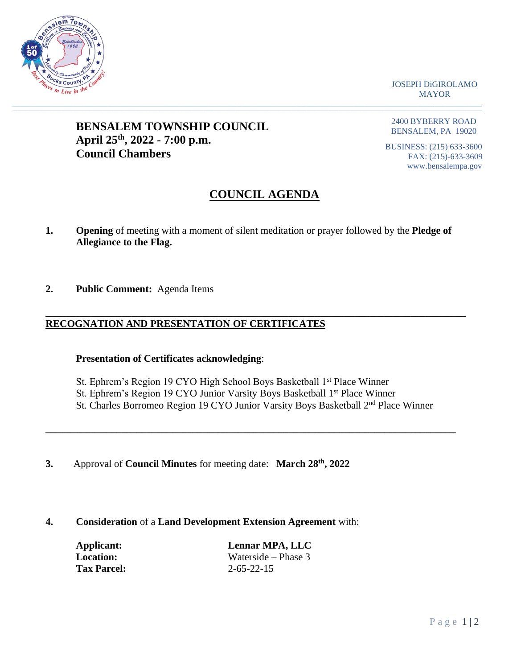

JOSEPH DiGIROLAMO MAYOR

## **BENSALEM TOWNSHIP COUNCIL April 25th, 2022 - 7:00 p.m. Council Chambers**

2400 BYBERRY ROAD BENSALEM, PA 19020

BUSINESS: (215) 633-3600 FAX: (215)-633-3609 www.bensalempa.gov

# **COUNCIL AGENDA**

**1. Opening** of meeting with a moment of silent meditation or prayer followed by the **Pledge of Allegiance to the Flag.**

 $\_$  , and the set of the set of the set of the set of the set of the set of the set of the set of the set of the set of the set of the set of the set of the set of the set of the set of the set of the set of the set of th

**2. Public Comment:** Agenda Items

## **\_\_\_\_\_\_\_\_\_\_\_\_\_\_\_\_\_\_\_\_\_\_\_\_\_\_\_\_\_\_\_\_\_\_\_\_\_\_\_\_\_\_\_\_\_\_\_\_\_\_\_\_\_\_\_\_\_\_\_\_\_\_\_\_\_\_\_\_\_\_\_\_\_\_\_\_\_\_\_\_\_\_\_ RECOGNATION AND PRESENTATION OF CERTIFICATES**

## **Presentation of Certificates acknowledging**:

- St. Ephrem's Region 19 CYO High School Boys Basketball 1<sup>st</sup> Place Winner
- St. Ephrem's Region 19 CYO Junior Varsity Boys Basketball 1<sup>st</sup> Place Winner
- St. Charles Borromeo Region 19 CYO Junior Varsity Boys Basketball 2<sup>nd</sup> Place Winner

**\_\_\_\_\_\_\_\_\_\_\_\_\_\_\_\_\_\_\_\_\_\_\_\_\_\_\_\_\_\_\_\_\_\_\_\_\_\_\_\_\_\_\_\_\_\_\_\_\_\_\_\_\_\_\_\_\_\_\_\_\_\_\_\_\_\_\_\_\_\_\_\_\_\_\_\_\_\_\_\_\_**

- **3.** Approval of **Council Minutes** for meeting date: **March 28th, 2022**
- **4. Consideration** of a **Land Development Extension Agreement** with:

| Applicant:         | Lennar MPA, LLC       |
|--------------------|-----------------------|
| Location:          | Waterside – Phase $3$ |
| <b>Tax Parcel:</b> | $2 - 65 - 22 - 15$    |